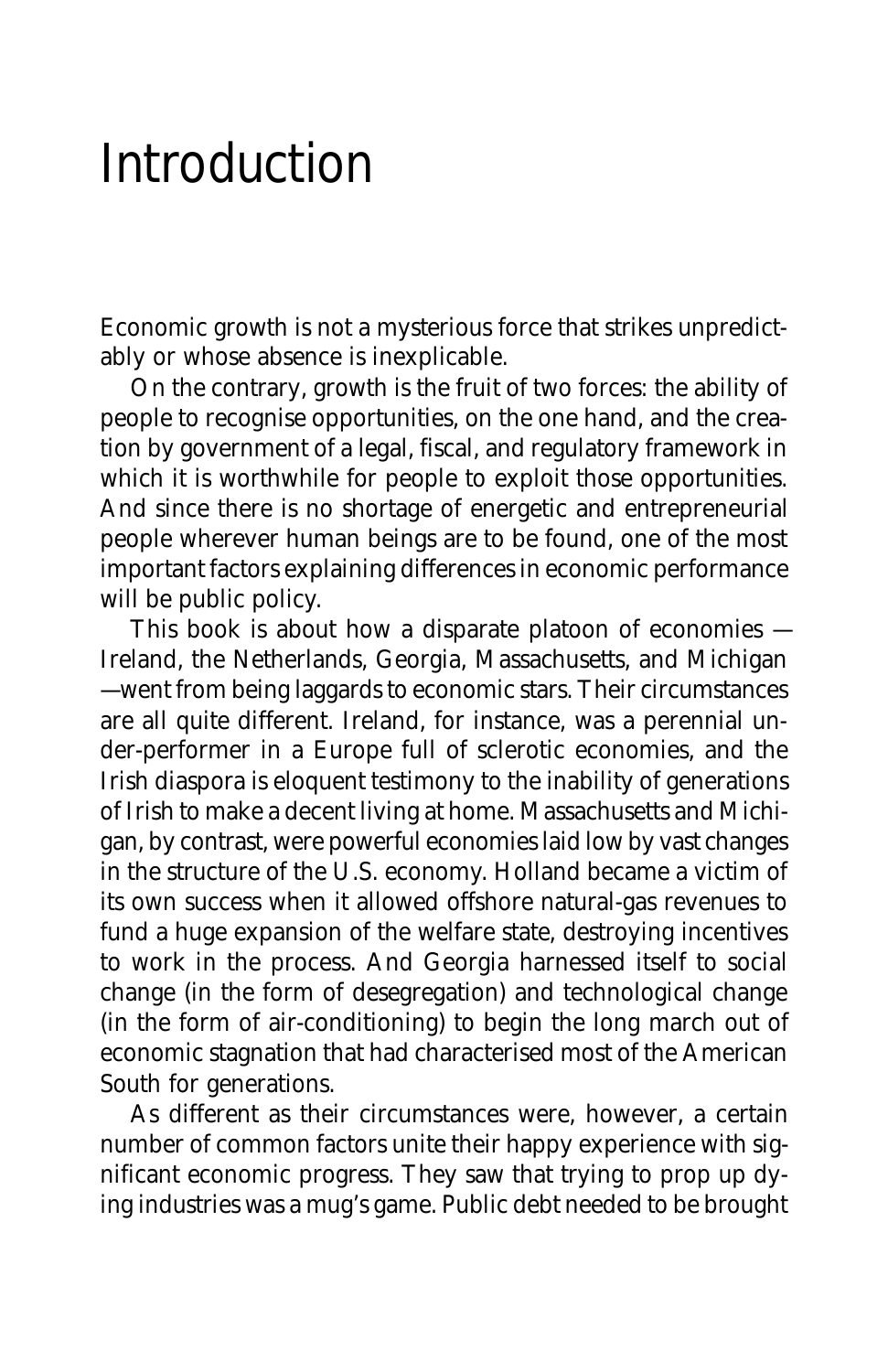## Introduction

Economic growth is not a mysterious force that strikes unpredictably or whose absence is inexplicable.

On the contrary, growth is the fruit of two forces: the ability of people to recognise opportunities, on the one hand, and the creation by government of a legal, fiscal, and regulatory framework in which it is worthwhile for people to exploit those opportunities. And since there is no shortage of energetic and entrepreneurial people wherever human beings are to be found, one of the most important factors explaining differences in economic performance will be public policy.

This book is about how a disparate platoon of economies — Ireland, the Netherlands, Georgia, Massachusetts, and Michigan — went from being laggards to economic stars. Their circumstances are all quite different. Ireland, for instance, was a perennial under-performer in a Europe full of sclerotic economies, and the Irish diaspora is eloquent testimony to the inability of generations of Irish to make a decent living at home. Massachusetts and Michigan, by contrast, were powerful economies laid low by vast changes in the structure of the U.S. economy. Holland became a victim of its own success when it allowed offshore natural-gas revenues to fund a huge expansion of the welfare state, destroying incentives to work in the process. And Georgia harnessed itself to social change (in the form of desegregation) and technological change (in the form of air-conditioning) to begin the long march out of economic stagnation that had characterised most of the American South for generations.

As different as their circumstances were, however, a certain number of common factors unite their happy experience with significant economic progress. They saw that trying to prop up dying industries was a mug's game. Public debt needed to be brought